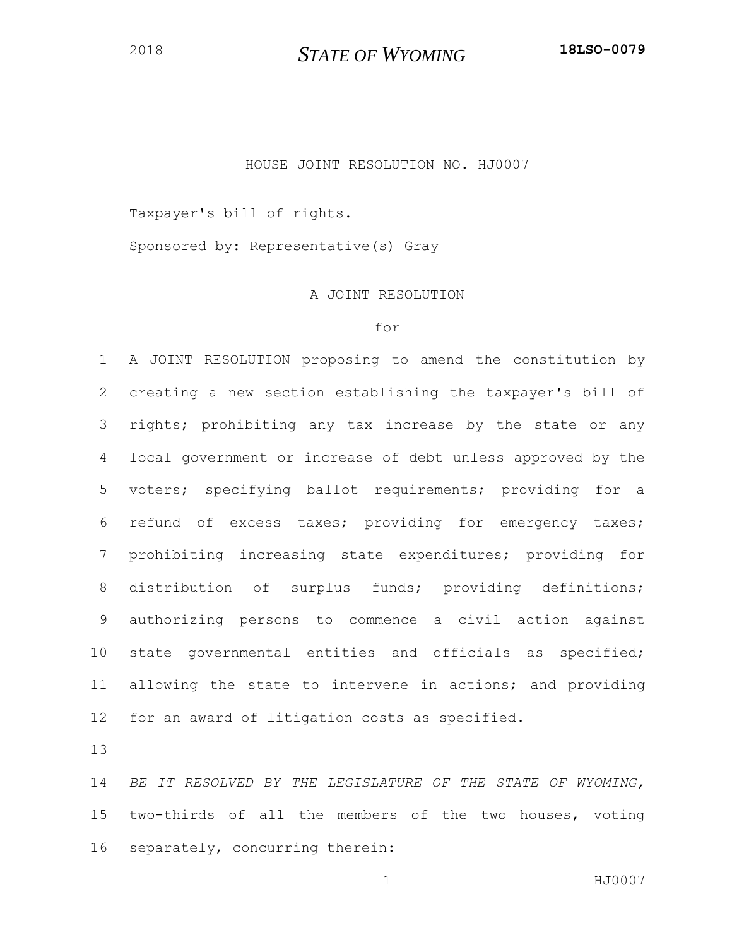## HOUSE JOINT RESOLUTION NO. HJ0007

Taxpayer's bill of rights.

Sponsored by: Representative(s) Gray

## A JOINT RESOLUTION

## for

 A JOINT RESOLUTION proposing to amend the constitution by creating a new section establishing the taxpayer's bill of rights; prohibiting any tax increase by the state or any local government or increase of debt unless approved by the voters; specifying ballot requirements; providing for a refund of excess taxes; providing for emergency taxes; prohibiting increasing state expenditures; providing for distribution of surplus funds; providing definitions; authorizing persons to commence a civil action against state governmental entities and officials as specified; allowing the state to intervene in actions; and providing for an award of litigation costs as specified.

 *BE IT RESOLVED BY THE LEGISLATURE OF THE STATE OF WYOMING,*  two-thirds of all the members of the two houses, voting separately, concurring therein: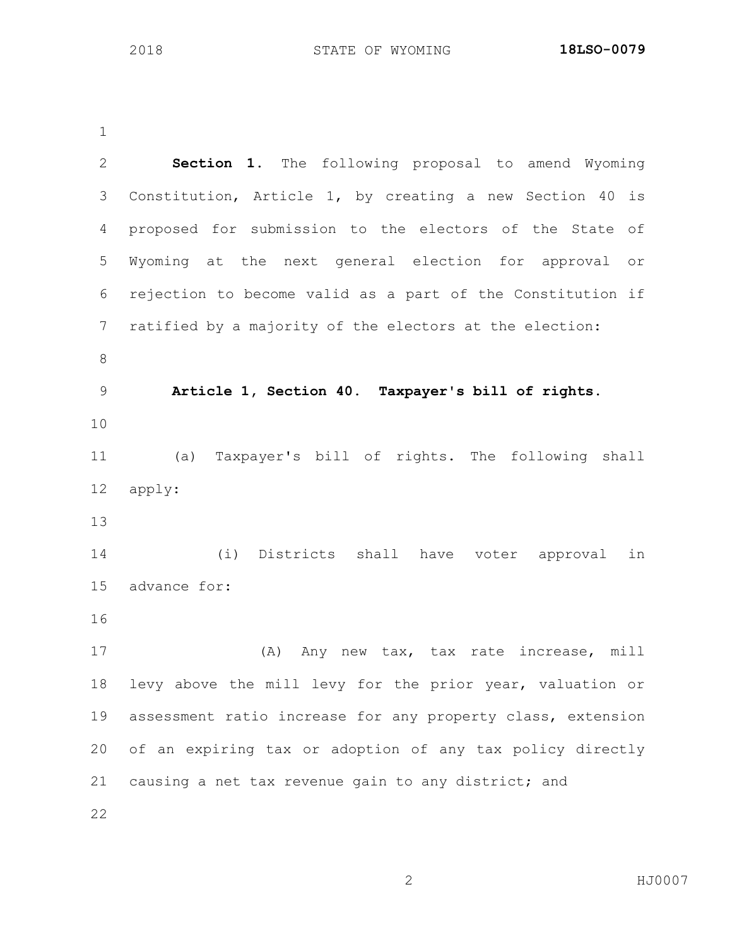| $\overline{2}$ | Section 1. The following proposal to amend Wyoming          |
|----------------|-------------------------------------------------------------|
| 3              | Constitution, Article 1, by creating a new Section 40 is    |
| 4              | proposed for submission to the electors of the State of     |
| 5              | Wyoming at the next general election for approval or        |
| 6              | rejection to become valid as a part of the Constitution if  |
| 7              | ratified by a majority of the electors at the election:     |
| $\,8\,$        |                                                             |
| $\mathsf 9$    | Article 1, Section 40. Taxpayer's bill of rights.           |
| 10             |                                                             |
| 11             | Taxpayer's bill of rights. The following shall<br>(a)       |
| 12             | apply:                                                      |
| 13             |                                                             |
| 14             | (i) Districts shall have voter approval<br>in               |
| 15             | advance for:                                                |
| 16             |                                                             |
| 17             | Any new tax, tax rate increase, mill<br>(A)                 |
| 18             | levy above the mill levy for the prior year, valuation or   |
| 19             | assessment ratio increase for any property class, extension |
| 20             | of an expiring tax or adoption of any tax policy directly   |
| 21             | causing a net tax revenue gain to any district; and         |
| 22             |                                                             |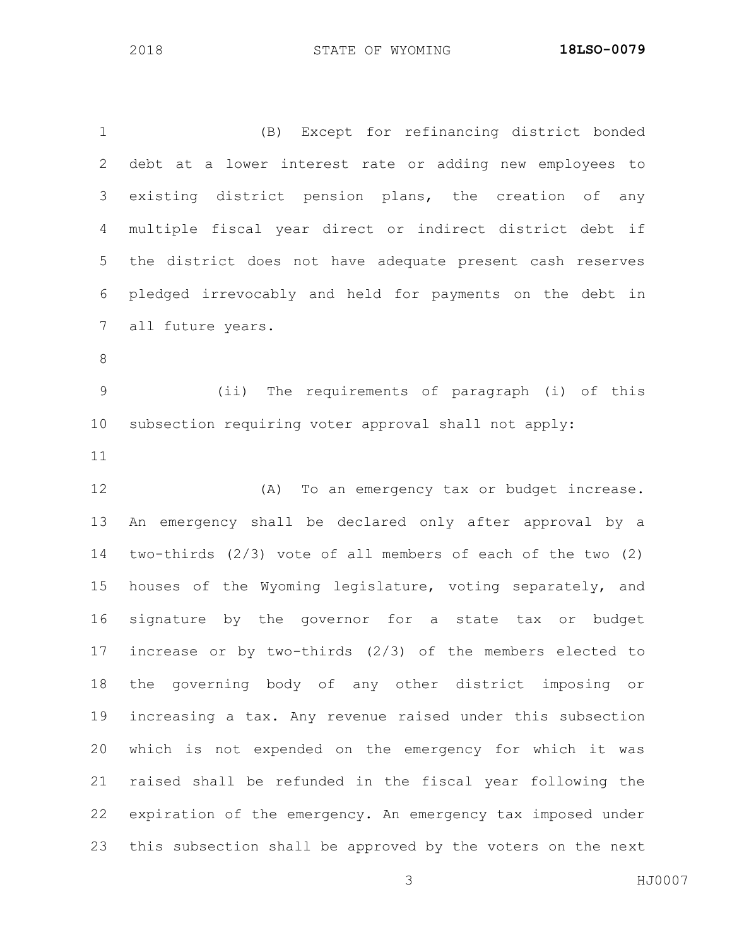(B) Except for refinancing district bonded debt at a lower interest rate or adding new employees to existing district pension plans, the creation of any multiple fiscal year direct or indirect district debt if the district does not have adequate present cash reserves pledged irrevocably and held for payments on the debt in all future years. (ii) The requirements of paragraph (i) of this subsection requiring voter approval shall not apply: (A) To an emergency tax or budget increase. An emergency shall be declared only after approval by a two-thirds (2/3) vote of all members of each of the two (2) houses of the Wyoming legislature, voting separately, and signature by the governor for a state tax or budget increase or by two-thirds (2/3) of the members elected to the governing body of any other district imposing or increasing a tax. Any revenue raised under this subsection which is not expended on the emergency for which it was raised shall be refunded in the fiscal year following the expiration of the emergency. An emergency tax imposed under this subsection shall be approved by the voters on the next

HJ0007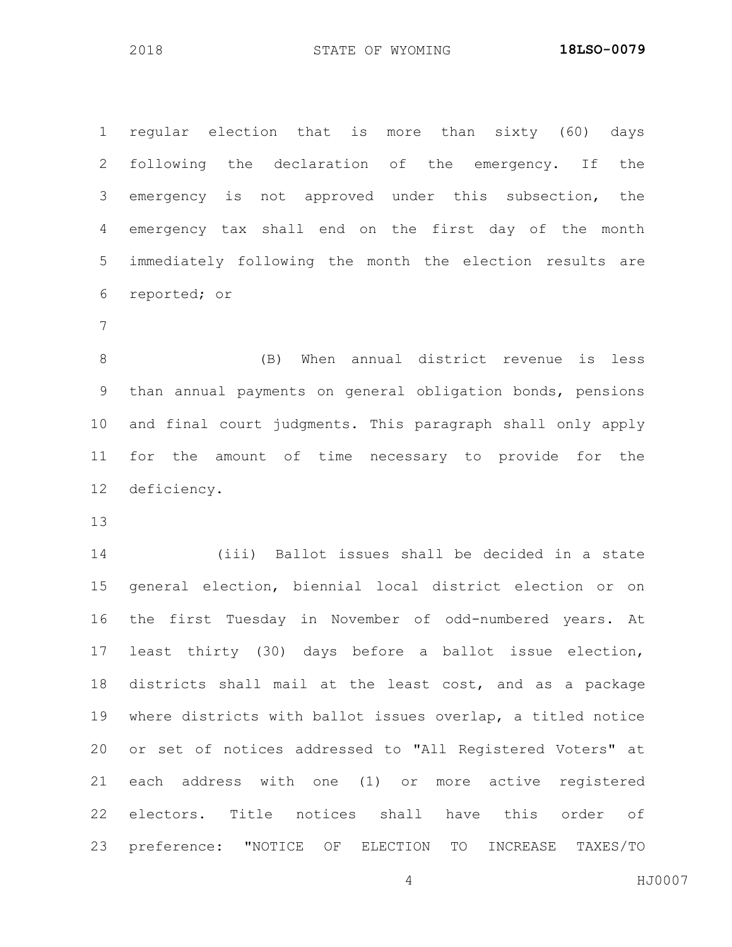regular election that is more than sixty (60) days following the declaration of the emergency. If the emergency is not approved under this subsection, the emergency tax shall end on the first day of the month immediately following the month the election results are reported; or

 (B) When annual district revenue is less than annual payments on general obligation bonds, pensions and final court judgments. This paragraph shall only apply for the amount of time necessary to provide for the deficiency.

 (iii) Ballot issues shall be decided in a state general election, biennial local district election or on the first Tuesday in November of odd-numbered years. At least thirty (30) days before a ballot issue election, districts shall mail at the least cost, and as a package where districts with ballot issues overlap, a titled notice or set of notices addressed to "All Registered Voters" at each address with one (1) or more active registered electors. Title notices shall have this order of preference: "NOTICE OF ELECTION TO INCREASE TAXES/TO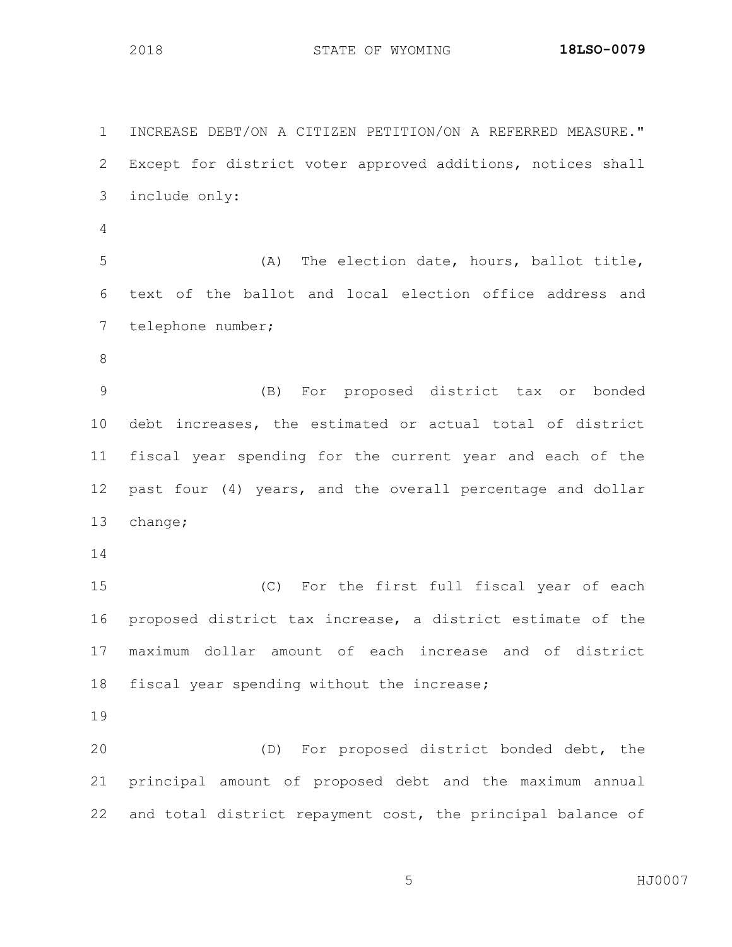INCREASE DEBT/ON A CITIZEN PETITION/ON A REFERRED MEASURE." Except for district voter approved additions, notices shall include only: (A) The election date, hours, ballot title, text of the ballot and local election office address and telephone number; (B) For proposed district tax or bonded debt increases, the estimated or actual total of district fiscal year spending for the current year and each of the past four (4) years, and the overall percentage and dollar change; (C) For the first full fiscal year of each proposed district tax increase, a district estimate of the maximum dollar amount of each increase and of district fiscal year spending without the increase; (D) For proposed district bonded debt, the principal amount of proposed debt and the maximum annual and total district repayment cost, the principal balance of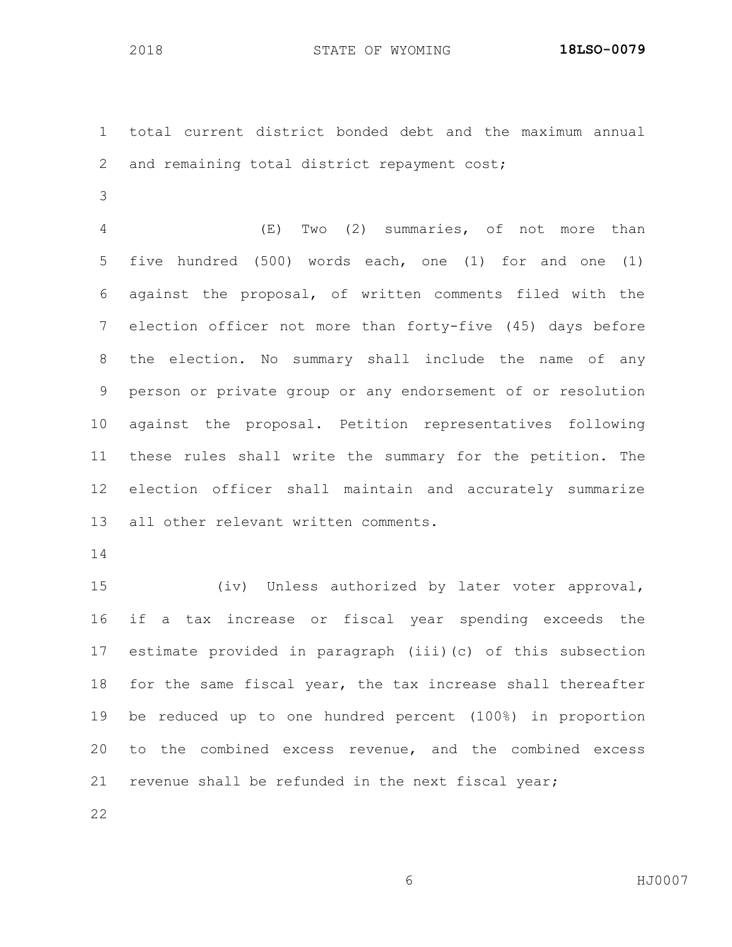total current district bonded debt and the maximum annual and remaining total district repayment cost;

 (E) Two (2) summaries, of not more than five hundred (500) words each, one (1) for and one (1) against the proposal, of written comments filed with the election officer not more than forty-five (45) days before the election. No summary shall include the name of any person or private group or any endorsement of or resolution against the proposal. Petition representatives following these rules shall write the summary for the petition. The election officer shall maintain and accurately summarize all other relevant written comments.

 (iv) Unless authorized by later voter approval, if a tax increase or fiscal year spending exceeds the estimate provided in paragraph (iii)(c) of this subsection for the same fiscal year, the tax increase shall thereafter be reduced up to one hundred percent (100%) in proportion to the combined excess revenue, and the combined excess revenue shall be refunded in the next fiscal year;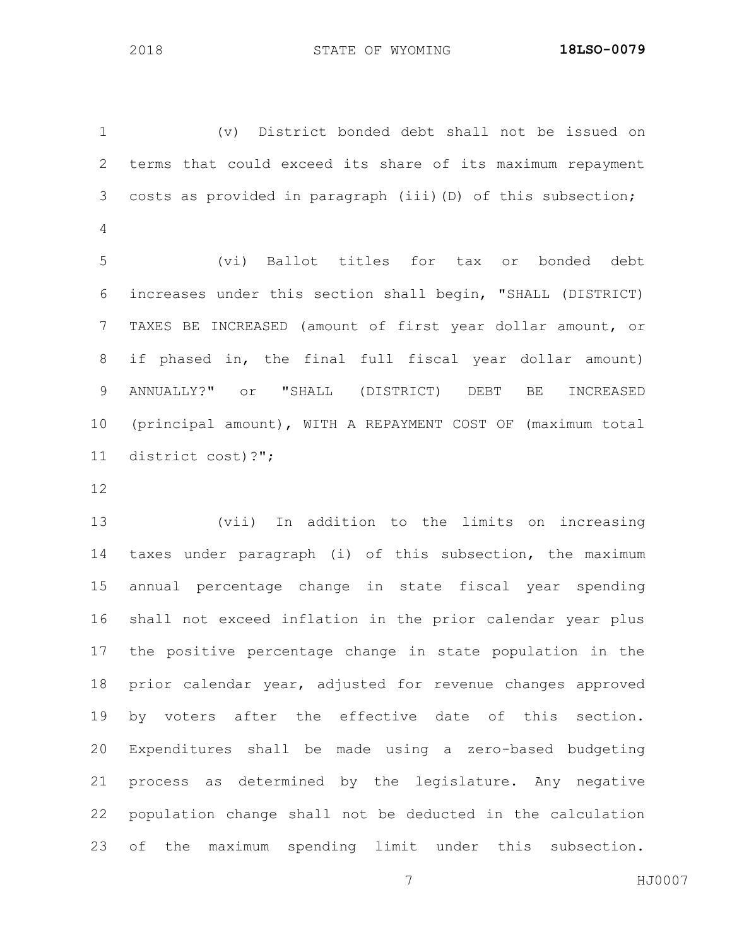(v) District bonded debt shall not be issued on terms that could exceed its share of its maximum repayment costs as provided in paragraph (iii)(D) of this subsection; (vi) Ballot titles for tax or bonded debt increases under this section shall begin, "SHALL (DISTRICT) TAXES BE INCREASED (amount of first year dollar amount, or if phased in, the final full fiscal year dollar amount) ANNUALLY?" or "SHALL (DISTRICT) DEBT BE INCREASED

 (principal amount), WITH A REPAYMENT COST OF (maximum total district cost)?";

 (vii) In addition to the limits on increasing taxes under paragraph (i) of this subsection, the maximum annual percentage change in state fiscal year spending shall not exceed inflation in the prior calendar year plus the positive percentage change in state population in the prior calendar year, adjusted for revenue changes approved by voters after the effective date of this section. Expenditures shall be made using a zero-based budgeting process as determined by the legislature. Any negative population change shall not be deducted in the calculation of the maximum spending limit under this subsection.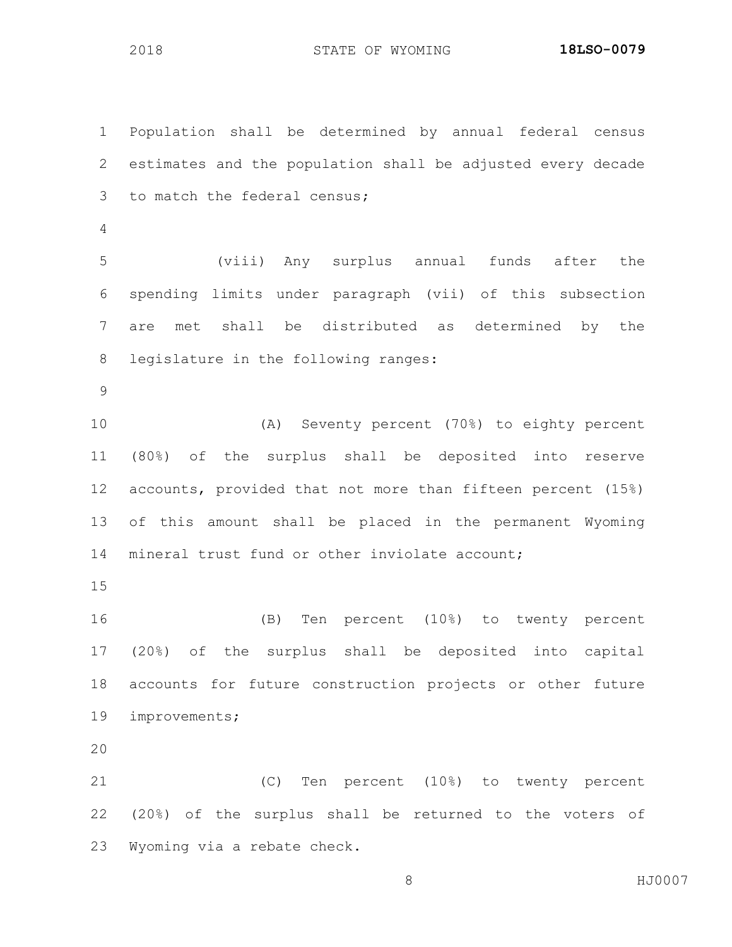Population shall be determined by annual federal census estimates and the population shall be adjusted every decade to match the federal census; (viii) Any surplus annual funds after the spending limits under paragraph (vii) of this subsection are met shall be distributed as determined by the legislature in the following ranges: (A) Seventy percent (70%) to eighty percent (80%) of the surplus shall be deposited into reserve accounts, provided that not more than fifteen percent (15%) of this amount shall be placed in the permanent Wyoming 14 mineral trust fund or other inviolate account; (B) Ten percent (10%) to twenty percent (20%) of the surplus shall be deposited into capital accounts for future construction projects or other future improvements; (C) Ten percent (10%) to twenty percent (20%) of the surplus shall be returned to the voters of Wyoming via a rebate check.

8 HJ0007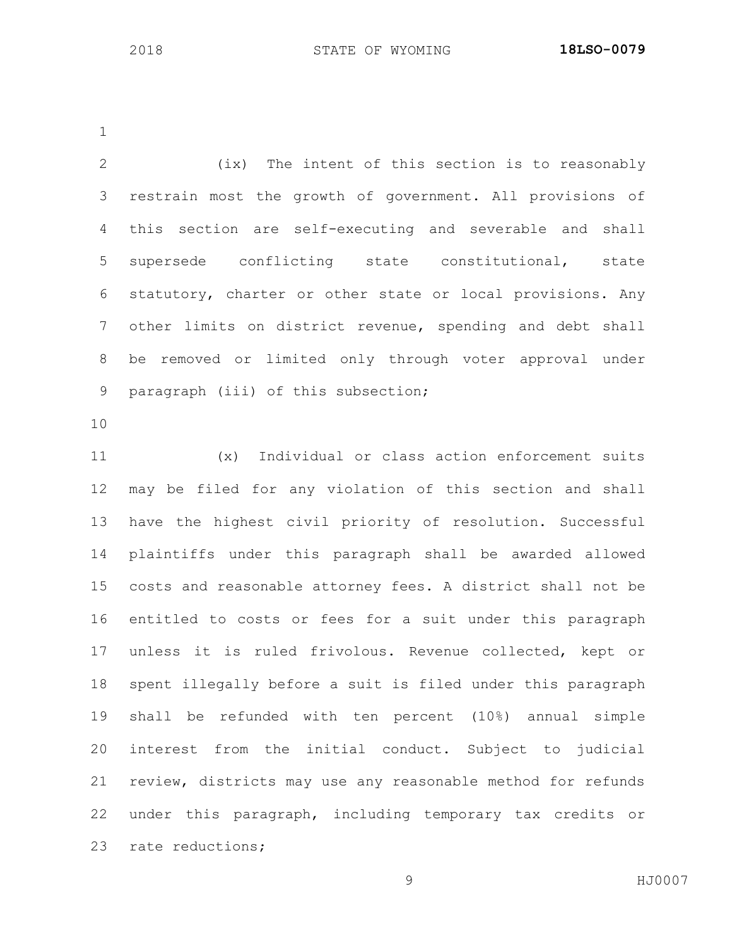(ix) The intent of this section is to reasonably restrain most the growth of government. All provisions of this section are self-executing and severable and shall supersede conflicting state constitutional, state statutory, charter or other state or local provisions. Any other limits on district revenue, spending and debt shall be removed or limited only through voter approval under paragraph (iii) of this subsection;

 (x) Individual or class action enforcement suits may be filed for any violation of this section and shall have the highest civil priority of resolution. Successful plaintiffs under this paragraph shall be awarded allowed costs and reasonable attorney fees. A district shall not be entitled to costs or fees for a suit under this paragraph unless it is ruled frivolous. Revenue collected, kept or spent illegally before a suit is filed under this paragraph shall be refunded with ten percent (10%) annual simple interest from the initial conduct. Subject to judicial review, districts may use any reasonable method for refunds under this paragraph, including temporary tax credits or rate reductions;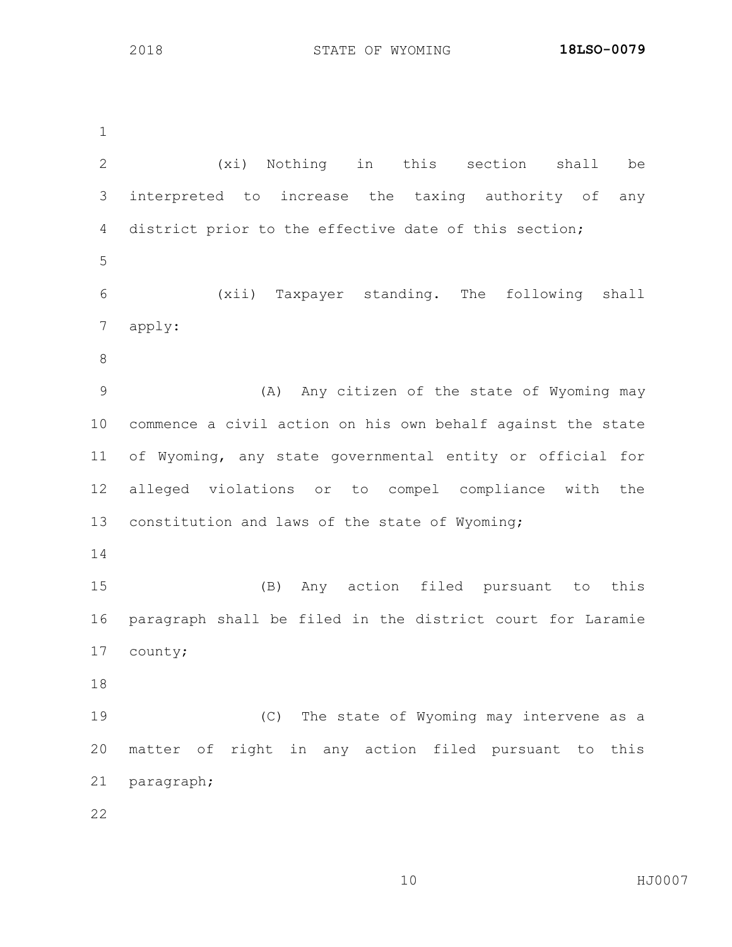(xi) Nothing in this section shall be interpreted to increase the taxing authority of any district prior to the effective date of this section; (xii) Taxpayer standing. The following shall apply: (A) Any citizen of the state of Wyoming may commence a civil action on his own behalf against the state of Wyoming, any state governmental entity or official for alleged violations or to compel compliance with the constitution and laws of the state of Wyoming; (B) Any action filed pursuant to this paragraph shall be filed in the district court for Laramie county; (C) The state of Wyoming may intervene as a matter of right in any action filed pursuant to this paragraph; 

HJ0007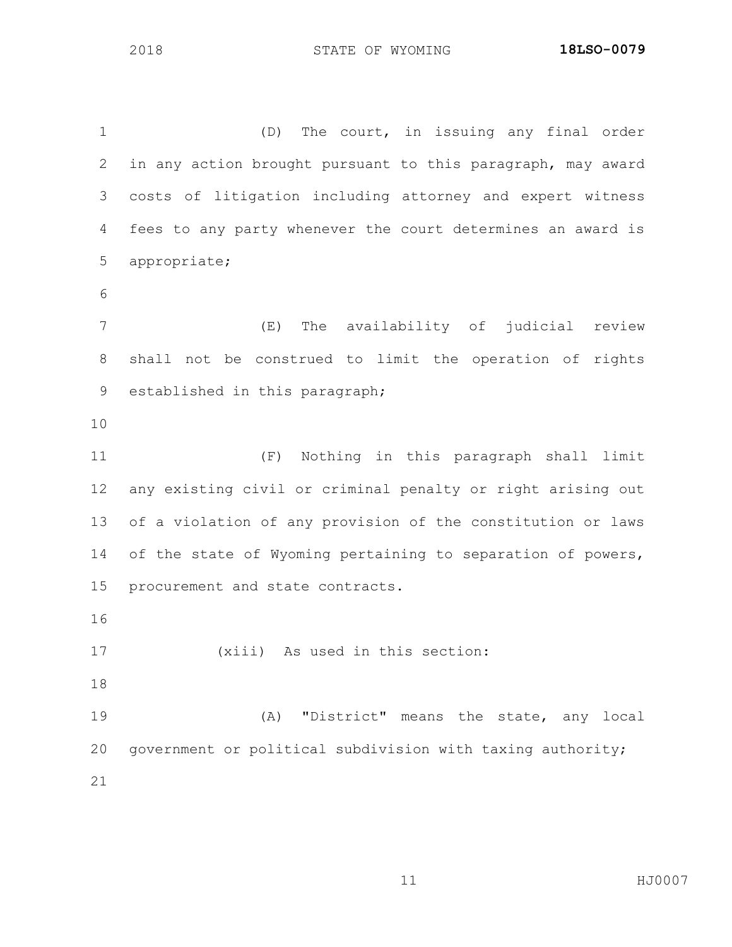(D) The court, in issuing any final order in any action brought pursuant to this paragraph, may award costs of litigation including attorney and expert witness fees to any party whenever the court determines an award is appropriate; (E) The availability of judicial review shall not be construed to limit the operation of rights established in this paragraph; (F) Nothing in this paragraph shall limit any existing civil or criminal penalty or right arising out of a violation of any provision of the constitution or laws 14 of the state of Wyoming pertaining to separation of powers, procurement and state contracts. (xiii) As used in this section: (A) "District" means the state, any local 20 government or political subdivision with taxing authority;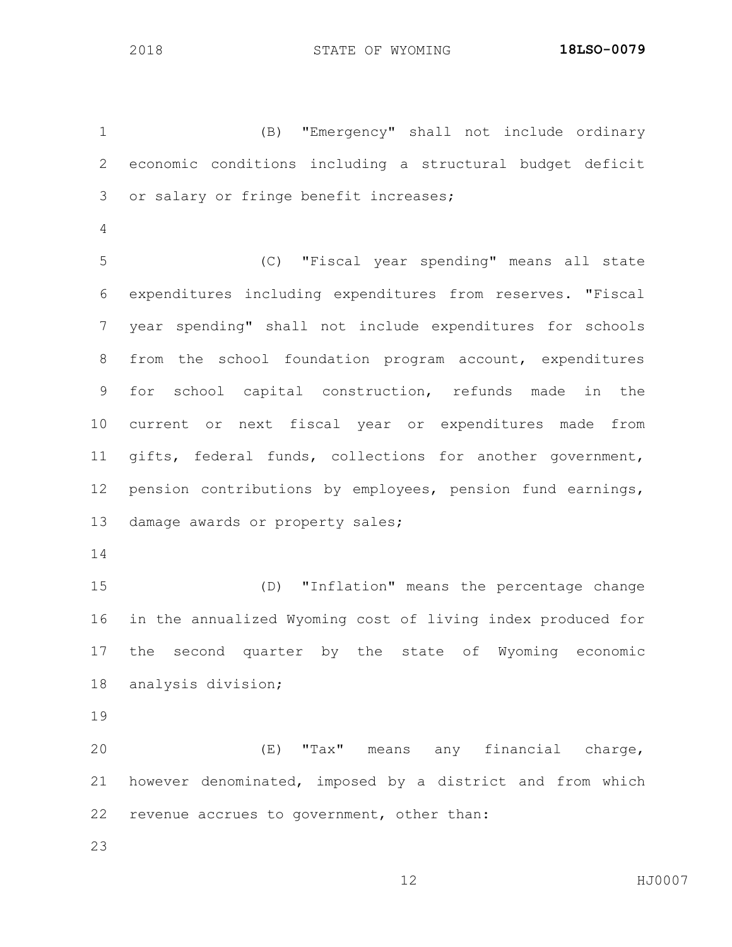(B) "Emergency" shall not include ordinary economic conditions including a structural budget deficit or salary or fringe benefit increases; (C) "Fiscal year spending" means all state expenditures including expenditures from reserves. "Fiscal year spending" shall not include expenditures for schools from the school foundation program account, expenditures for school capital construction, refunds made in the current or next fiscal year or expenditures made from gifts, federal funds, collections for another government, pension contributions by employees, pension fund earnings, damage awards or property sales; (D) "Inflation" means the percentage change in the annualized Wyoming cost of living index produced for the second quarter by the state of Wyoming economic analysis division; (E) "Tax" means any financial charge, however denominated, imposed by a district and from which revenue accrues to government, other than: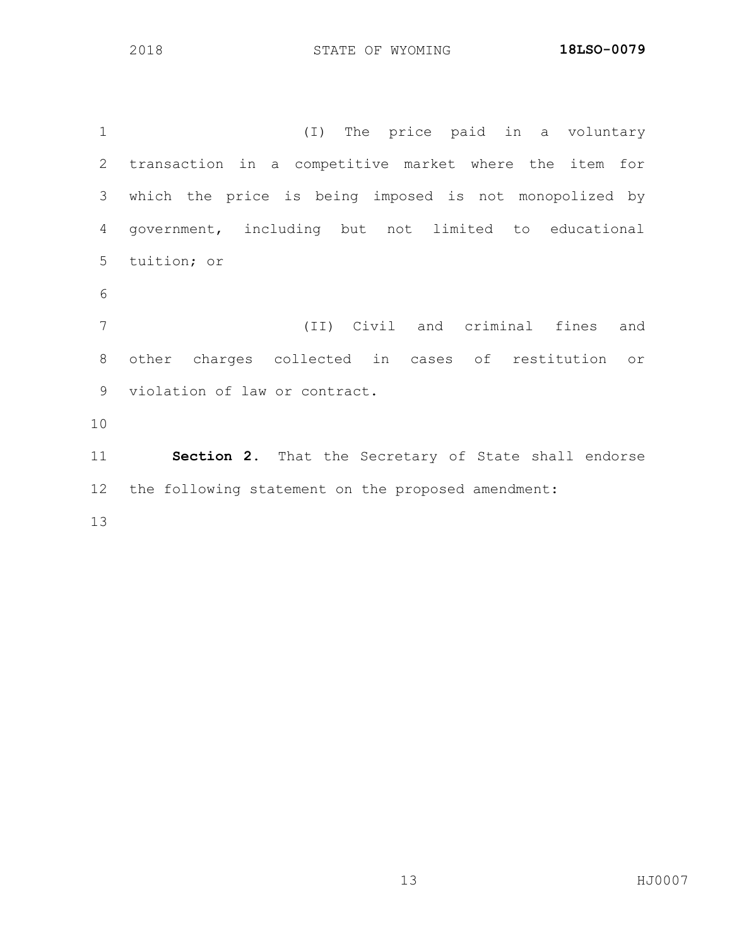(I) The price paid in a voluntary transaction in a competitive market where the item for which the price is being imposed is not monopolized by government, including but not limited to educational tuition; or (II) Civil and criminal fines and other charges collected in cases of restitution or violation of law or contract. **Section 2.** That the Secretary of State shall endorse the following statement on the proposed amendment: